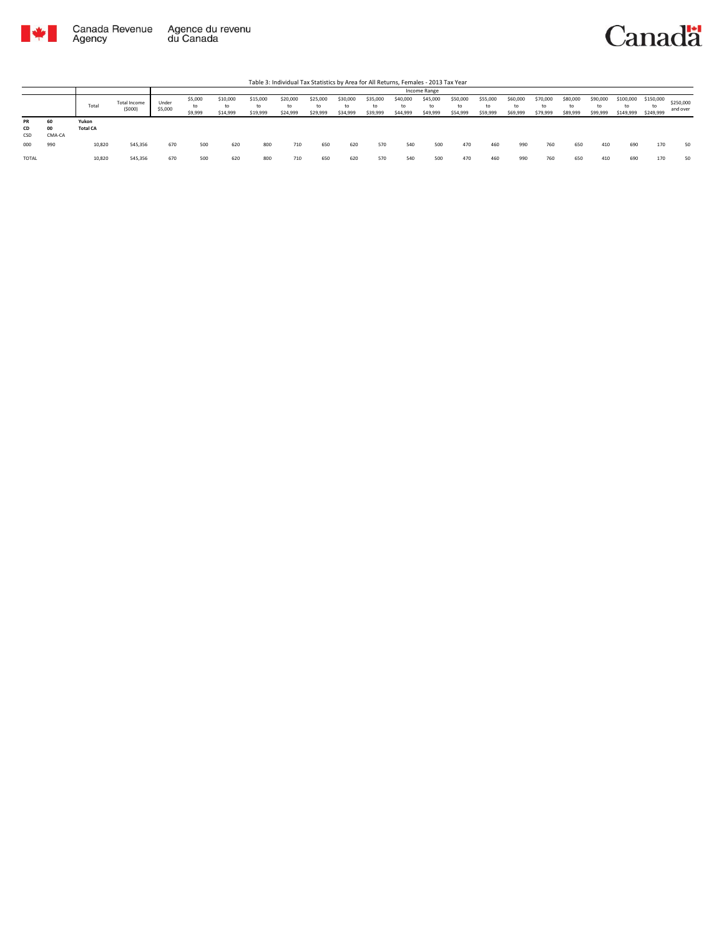

Canadä

Table 3: Individual Tax Statistics by Area for All Returns, Females - 2013 Tax Year

|                 |                    |                          |                               |                  | Income Range             |                            |                            |                            |                            |                            |                            |                            |                            |                            |                            |                            |                            |                            |                            |                              |                              |                       |
|-----------------|--------------------|--------------------------|-------------------------------|------------------|--------------------------|----------------------------|----------------------------|----------------------------|----------------------------|----------------------------|----------------------------|----------------------------|----------------------------|----------------------------|----------------------------|----------------------------|----------------------------|----------------------------|----------------------------|------------------------------|------------------------------|-----------------------|
|                 |                    | Total                    | <b>Total Income</b><br>(5000) | Under<br>\$5,000 | \$5,000<br>to<br>\$9,999 | \$10,000<br>to<br>\$14,999 | \$15,000<br>to<br>\$19,999 | \$20,000<br>to<br>\$24,999 | \$25,000<br>to<br>\$29,999 | \$30,000<br>to<br>\$34,999 | \$35,000<br>to<br>\$39,999 | \$40,000<br>to<br>\$44,999 | \$45,000<br>to<br>\$49,999 | \$50,000<br>to<br>\$54,999 | \$55,000<br>to<br>\$59,999 | \$60,000<br>to<br>\$69,999 | \$70,000<br>to<br>\$79,999 | \$80,000<br>to<br>\$89,999 | \$90,000<br>to<br>\$99,999 | \$100,000<br>to<br>\$149,999 | \$150,000<br>to<br>\$249,999 | \$250,000<br>and over |
| PR<br>CD<br>CSD | 60<br>00<br>CMA-CA | Yukon<br><b>Total CA</b> |                               |                  |                          |                            |                            |                            |                            |                            |                            |                            |                            |                            |                            |                            |                            |                            |                            |                              |                              |                       |
| 000             | 990                | 10,820                   | 545,356                       | 670              | 500                      | 620                        | 800                        | 710                        | 650                        | 620                        | 570                        | 540                        | 500                        | 470                        | 460                        | 990                        | 760                        | 650                        | 410                        | 690                          | 170                          | 50                    |
| <b>TOTAL</b>    |                    | 10,820                   | 545,356                       | 670              | 500                      | 620                        | 800                        | 710                        | 650                        | 620                        | 570                        | 540                        | 500                        | 470                        | 460                        | 990                        | 760                        | 650                        | 410                        | 690                          | 170                          | 50                    |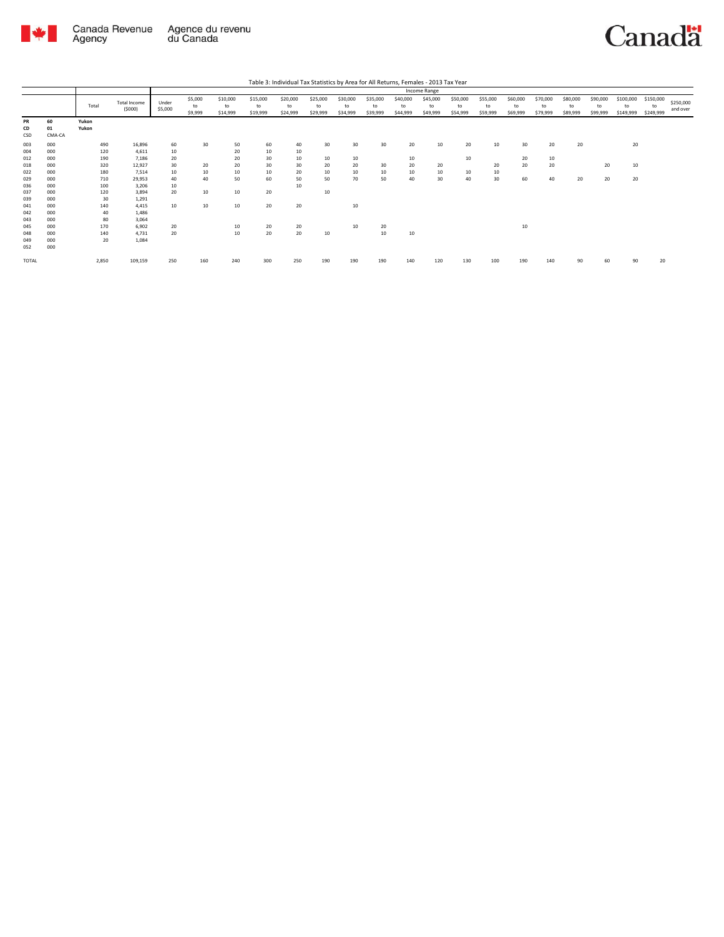

Canadä

|  | Table 3: Individual Tax Statistics by Area for All Returns, Females - 2013 Tax Year |
|--|-------------------------------------------------------------------------------------|
|  |                                                                                     |

|                          |                          |                   |                               |                  |                          |                            |                            | Table 3: Individual Tax Statistics by Area for All Returns, Females - 2013 Tax Year |                            |                            |                            |                            |                            |                            |                            |                            |                            |                            |                            |                              |                              |                       |
|--------------------------|--------------------------|-------------------|-------------------------------|------------------|--------------------------|----------------------------|----------------------------|-------------------------------------------------------------------------------------|----------------------------|----------------------------|----------------------------|----------------------------|----------------------------|----------------------------|----------------------------|----------------------------|----------------------------|----------------------------|----------------------------|------------------------------|------------------------------|-----------------------|
|                          |                          |                   |                               |                  |                          |                            |                            |                                                                                     |                            |                            |                            |                            | Income Range               |                            |                            |                            |                            |                            |                            |                              |                              |                       |
|                          |                          | Total             | <b>Total Income</b><br>(5000) | Under<br>\$5,000 | \$5,000<br>to<br>\$9,999 | \$10,000<br>to<br>\$14,999 | \$15,000<br>to<br>\$19,999 | \$20,000<br>to<br>\$24,999                                                          | \$25,000<br>to<br>\$29,999 | \$30,000<br>to<br>\$34,999 | \$35,000<br>to<br>\$39,999 | \$40,000<br>to<br>\$44,999 | \$45,000<br>to<br>\$49,999 | \$50,000<br>to<br>\$54,999 | \$55,000<br>to<br>\$59,999 | \$60,000<br>to<br>\$69,999 | \$70,000<br>to<br>\$79,999 | \$80,000<br>to<br>\$89,999 | \$90,000<br>to<br>\$99,999 | \$100,000<br>to<br>\$149,999 | \$150,000<br>to<br>\$249,999 | \$250,000<br>and over |
| PR<br>CD<br>CSD          | 60<br>01<br>CMA-CA       | Yukon<br>Yukon    |                               |                  |                          |                            |                            |                                                                                     |                            |                            |                            |                            |                            |                            |                            |                            |                            |                            |                            |                              |                              |                       |
| 003<br>004<br>012        | 000<br>000<br>000        | 490<br>120<br>190 | 16,896<br>4,611<br>7,186      | 60<br>10<br>20   | 30                       | 50<br>20<br>20             | 60<br>10<br>30             | 40<br>10<br>10                                                                      | 30<br>10                   | 30<br>10                   | 30                         | 20<br>10                   | 10                         | 20<br>10                   | 10                         | 30<br>20                   | 20<br>10                   | 20                         |                            | 20                           |                              |                       |
| 018<br>022<br>029        | 000<br>000<br>000        | 320<br>180<br>710 | 12,927<br>7,514<br>29,953     | 30<br>10<br>40   | 20<br>10<br>40           | 20<br>10<br>50             | 30<br>10<br>60             | 30<br>20<br>50                                                                      | 20<br>10<br>50             | 20<br>10<br>70             | 30<br>10<br>50             | 20<br>10<br>40             | 20<br>10<br>30             | 10<br>40                   | 20<br>10<br>30             | 20<br>60                   | 20<br>40                   | 20                         | 20<br>20                   | 10<br>20                     |                              |                       |
| 036<br>037<br>039        | 000<br>000<br>000        | 100<br>120<br>30  | 3,206<br>3,894<br>1,291       | 10<br>20         | 10                       | 10                         | 20                         | 10                                                                                  | 10                         |                            |                            |                            |                            |                            |                            |                            |                            |                            |                            |                              |                              |                       |
| 041<br>042<br>043        | 000<br>000<br>000        | 140<br>40<br>80   | 4,415<br>1,486<br>3,064       | 10               | 10                       | 10 <sup>10</sup>           | 20                         | 20                                                                                  |                            | 10                         |                            |                            |                            |                            |                            |                            |                            |                            |                            |                              |                              |                       |
| 045<br>048<br>049<br>052 | 000<br>000<br>000<br>000 | 170<br>140<br>20  | 6,902<br>4,731<br>1,084       | 20<br>20         |                          | 10<br>10                   | 20<br>20                   | 20<br>20                                                                            | 10                         | 10                         | 20<br>10                   | 10                         |                            |                            |                            | 10                         |                            |                            |                            |                              |                              |                       |
| TOTAL                    |                          | 2,850             | 109,159                       | 250              | 160                      | 240                        | 300                        | 250                                                                                 | 190                        | 190                        | 190                        | 140                        | 120                        | 130                        | 100                        | 190                        | 140                        | 90                         | 60                         | 90                           | 20                           |                       |